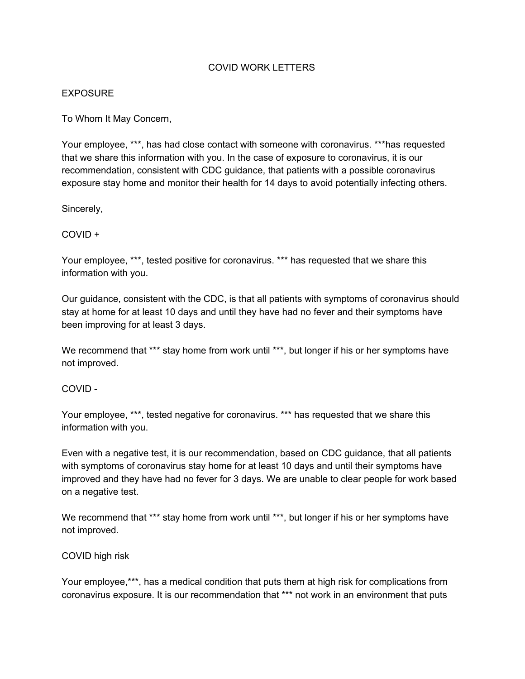## COVID WORK LETTERS

## EXPOSURE

To Whom It May Concern,

Your employee, \*\*\*, has had close contact with someone with coronavirus. \*\*\*has requested that we share this information with you. In the case of exposure to coronavirus, it is our recommendation, consistent with CDC guidance, that patients with a possible coronavirus exposure stay home and monitor their health for 14 days to avoid potentially infecting others.

Sincerely,

COVID +

Your employee, \*\*\*, tested positive for coronavirus. \*\*\* has requested that we share this information with you.

Our guidance, consistent with the CDC, is that all patients with symptoms of coronavirus should stay at home for at least 10 days and until they have had no fever and their symptoms have been improving for at least 3 days.

We recommend that \*\*\* stay home from work until \*\*\*, but longer if his or her symptoms have not improved.

COVID -

Your employee, \*\*\*, tested negative for coronavirus. \*\*\* has requested that we share this information with you.

Even with a negative test, it is our recommendation, based on CDC guidance, that all patients with symptoms of coronavirus stay home for at least 10 days and until their symptoms have improved and they have had no fever for 3 days. We are unable to clear people for work based on a negative test.

We recommend that \*\*\* stay home from work until \*\*\*, but longer if his or her symptoms have not improved.

COVID high risk

Your employee,\*\*\*, has a medical condition that puts them at high risk for complications from coronavirus exposure. It is our recommendation that \*\*\* not work in an environment that puts